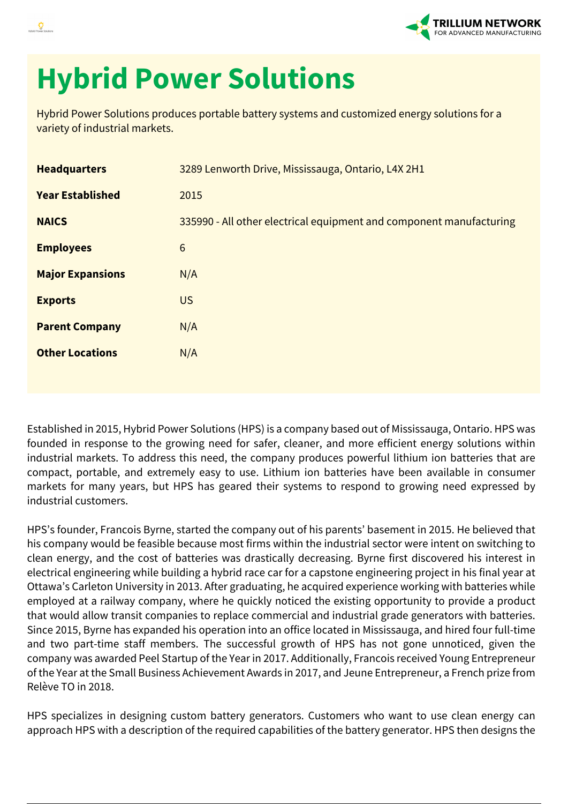

## **Hybrid Power Solutions**

Hybrid Power Solutions produces portable battery systems and customized energy solutions for a variety of industrial markets.

| <b>Headquarters</b>     | 3289 Lenworth Drive, Mississauga, Ontario, L4X 2H1                  |
|-------------------------|---------------------------------------------------------------------|
| <b>Year Established</b> | 2015                                                                |
| <b>NAICS</b>            | 335990 - All other electrical equipment and component manufacturing |
| <b>Employees</b>        | 6                                                                   |
| <b>Major Expansions</b> | N/A                                                                 |
| <b>Exports</b>          | <b>US</b>                                                           |
| <b>Parent Company</b>   | N/A                                                                 |
| <b>Other Locations</b>  | N/A                                                                 |
|                         |                                                                     |

Established in 2015, Hybrid Power Solutions (HPS) is a company based out of Mississauga, Ontario. HPS was founded in response to the growing need for safer, cleaner, and more efficient energy solutions within industrial markets. To address this need, the company produces powerful lithium ion batteries that are compact, portable, and extremely easy to use. Lithium ion batteries have been available in consumer markets for many years, but HPS has geared their systems to respond to growing need expressed by industrial customers.

HPS's founder, Francois Byrne, started the company out of his parents' basement in 2015. He believed that his company would be feasible because most firms within the industrial sector were intent on switching to clean energy, and the cost of batteries was drastically decreasing. Byrne first discovered his interest in electrical engineering while building a hybrid race car for a capstone engineering project in his final year at Ottawa's Carleton University in 2013. After graduating, he acquired experience working with batteries while employed at a railway company, where he quickly noticed the existing opportunity to provide a product that would allow transit companies to replace commercial and industrial grade generators with batteries. Since 2015, Byrne has expanded his operation into an office located in Mississauga, and hired four full-time and two part-time staff members. The successful growth of HPS has not gone unnoticed, given the company was awarded Peel Startup of the Year in 2017. Additionally, Francois received Young Entrepreneur of the Year at the Small Business Achievement Awards in 2017, and Jeune Entrepreneur, a French prize from Relève TO in 2018.

HPS specializes in designing custom battery generators. Customers who want to use clean energy can approach HPS with a description of the required capabilities of the battery generator. HPS then designs the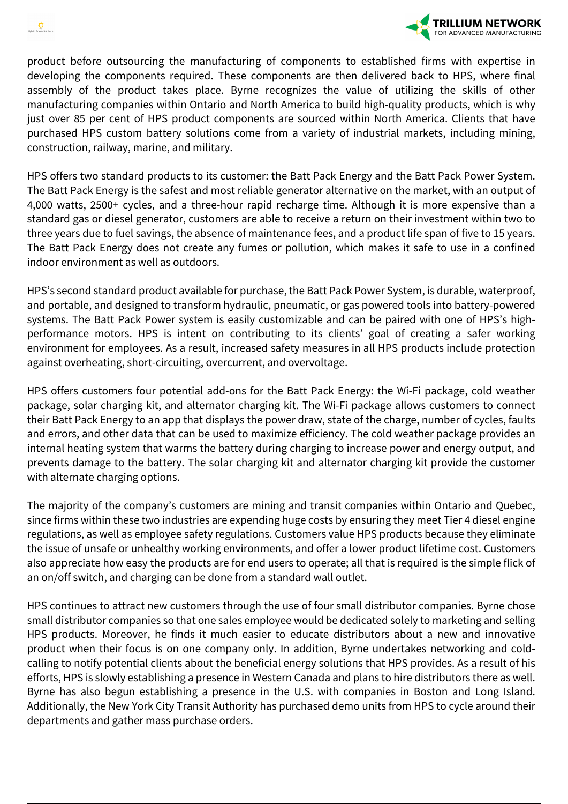



product before outsourcing the manufacturing of components to established firms with expertise in developing the components required. These components are then delivered back to HPS, where final assembly of the product takes place. Byrne recognizes the value of utilizing the skills of other manufacturing companies within Ontario and North America to build high-quality products, which is why just over 85 per cent of HPS product components are sourced within North America. Clients that have purchased HPS custom battery solutions come from a variety of industrial markets, including mining, construction, railway, marine, and military.

HPS offers two standard products to its customer: the Batt Pack Energy and the Batt Pack Power System. The Batt Pack Energy is the safest and most reliable generator alternative on the market, with an output of 4,000 watts, 2500+ cycles, and a three-hour rapid recharge time. Although it is more expensive than a standard gas or diesel generator, customers are able to receive a return on their investment within two to three years due to fuel savings, the absence of maintenance fees, and a product life span of five to 15 years. The Batt Pack Energy does not create any fumes or pollution, which makes it safe to use in a confined indoor environment as well as outdoors.

HPS's second standard product available for purchase, the Batt Pack Power System, is durable, waterproof, and portable, and designed to transform hydraulic, pneumatic, or gas powered tools into battery-powered systems. The Batt Pack Power system is easily customizable and can be paired with one of HPS's highperformance motors. HPS is intent on contributing to its clients' goal of creating a safer working environment for employees. As a result, increased safety measures in all HPS products include protection against overheating, short-circuiting, overcurrent, and overvoltage.

HPS offers customers four potential add-ons for the Batt Pack Energy: the Wi-Fi package, cold weather package, solar charging kit, and alternator charging kit. The Wi-Fi package allows customers to connect their Batt Pack Energy to an app that displays the power draw, state of the charge, number of cycles, faults and errors, and other data that can be used to maximize efficiency. The cold weather package provides an internal heating system that warms the battery during charging to increase power and energy output, and prevents damage to the battery. The solar charging kit and alternator charging kit provide the customer with alternate charging options.

The majority of the company's customers are mining and transit companies within Ontario and Quebec, since firms within these two industries are expending huge costs by ensuring they meet Tier 4 diesel engine regulations, as well as employee safety regulations. Customers value HPS products because they eliminate the issue of unsafe or unhealthy working environments, and offer a lower product lifetime cost. Customers also appreciate how easy the products are for end users to operate; all that is required is the simple flick of an on/off switch, and charging can be done from a standard wall outlet.

HPS continues to attract new customers through the use of four small distributor companies. Byrne chose small distributor companies so that one sales employee would be dedicated solely to marketing and selling HPS products. Moreover, he finds it much easier to educate distributors about a new and innovative product when their focus is on one company only. In addition, Byrne undertakes networking and coldcalling to notify potential clients about the beneficial energy solutions that HPS provides. As a result of his efforts, HPS is slowly establishing a presence in Western Canada and plans to hire distributors there as well. Byrne has also begun establishing a presence in the U.S. with companies in Boston and Long Island. Additionally, the New York City Transit Authority has purchased demo units from HPS to cycle around their departments and gather mass purchase orders.